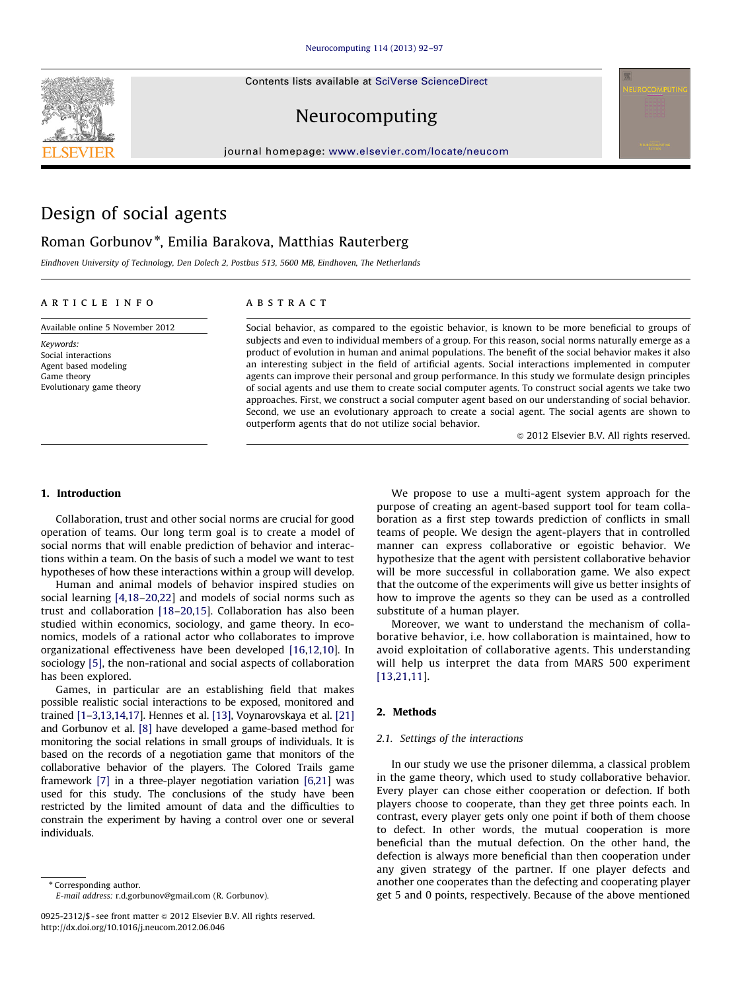Contents lists available at [SciVerse ScienceDirect](www.elsevier.com/locate/neucom)

# Neurocomputing

journal homepage: <www.elsevier.com/locate/neucom>

# Design of social agents

# Roman Gorbunov\*, Emilia Barakova, Matthias Rauterberg

Eindhoven University of Technology, Den Dolech 2, Postbus 513, 5600 MB, Eindhoven, The Netherlands

#### article info

Available online 5 November 2012

Keywords: Social interactions Agent based modeling Game theory Evolutionary game theory

# **ABSTRACT**

Social behavior, as compared to the egoistic behavior, is known to be more beneficial to groups of subjects and even to individual members of a group. For this reason, social norms naturally emerge as a product of evolution in human and animal populations. The benefit of the social behavior makes it also an interesting subject in the field of artificial agents. Social interactions implemented in computer agents can improve their personal and group performance. In this study we formulate design principles of social agents and use them to create social computer agents. To construct social agents we take two approaches. First, we construct a social computer agent based on our understanding of social behavior. Second, we use an evolutionary approach to create a social agent. The social agents are shown to outperform agents that do not utilize social behavior.

 $\odot$  2012 Elsevier B.V. All rights reserved.

# 1. Introduction

Collaboration, trust and other social norms are crucial for good operation of teams. Our long term goal is to create a model of social norms that will enable prediction of behavior and interactions within a team. On the basis of such a model we want to test hypotheses of how these interactions within a group will develop.

Human and animal models of behavior inspired studies on social learning [\[4](#page-4-0),[18–20,22](#page-4-0)] and models of social norms such as trust and collaboration [\[18–20](#page-4-0),[15\]](#page-4-0). Collaboration has also been studied within economics, sociology, and game theory. In economics, models of a rational actor who collaborates to improve organizational effectiveness have been developed [\[16,12,10](#page-4-0)]. In sociology [\[5\],](#page-4-0) the non-rational and social aspects of collaboration has been explored.

Games, in particular are an establishing field that makes possible realistic social interactions to be exposed, monitored and trained [\[1–3,13,14,17\]](#page-4-0). Hennes et al. [\[13\],](#page-4-0) Voynarovskaya et al. [\[21\]](#page-4-0) and Gorbunov et al. [\[8\]](#page-4-0) have developed a game-based method for monitoring the social relations in small groups of individuals. It is based on the records of a negotiation game that monitors of the collaborative behavior of the players. The Colored Trails game framework [\[7\]](#page-4-0) in a three-player negotiation variation [\[6](#page-4-0),[21](#page-4-0)] was used for this study. The conclusions of the study have been restricted by the limited amount of data and the difficulties to constrain the experiment by having a control over one or several individuals.

\* Corresponding author. E-mail address: [r.d.gorbunov@gmail.com \(R. Gorbunov\).](mailto:r.d.gorbunov@gmail.com)

We propose to use a multi-agent system approach for the purpose of creating an agent-based support tool for team collaboration as a first step towards prediction of conflicts in small teams of people. We design the agent-players that in controlled manner can express collaborative or egoistic behavior. We hypothesize that the agent with persistent collaborative behavior will be more successful in collaboration game. We also expect that the outcome of the experiments will give us better insights of how to improve the agents so they can be used as a controlled substitute of a human player.

Moreover, we want to understand the mechanism of collaborative behavior, i.e. how collaboration is maintained, how to avoid exploitation of collaborative agents. This understanding will help us interpret the data from MARS 500 experiment [\[13,21,11\]](#page-4-0).

# 2. Methods

### 2.1. Settings of the interactions

In our study we use the prisoner dilemma, a classical problem in the game theory, which used to study collaborative behavior. Every player can chose either cooperation or defection. If both players choose to cooperate, than they get three points each. In contrast, every player gets only one point if both of them choose to defect. In other words, the mutual cooperation is more beneficial than the mutual defection. On the other hand, the defection is always more beneficial than then cooperation under any given strategy of the partner. If one player defects and another one cooperates than the defecting and cooperating player get 5 and 0 points, respectively. Because of the above mentioned



<sup>0925-2312/\$ -</sup> see front matter  $\circ$  2012 Elsevier B.V. All rights reserved. [http://dx.doi.org/10.1016/j.neucom.2012.06.046](dx.doi.org/10.1016/j.neucom.2012.06.046)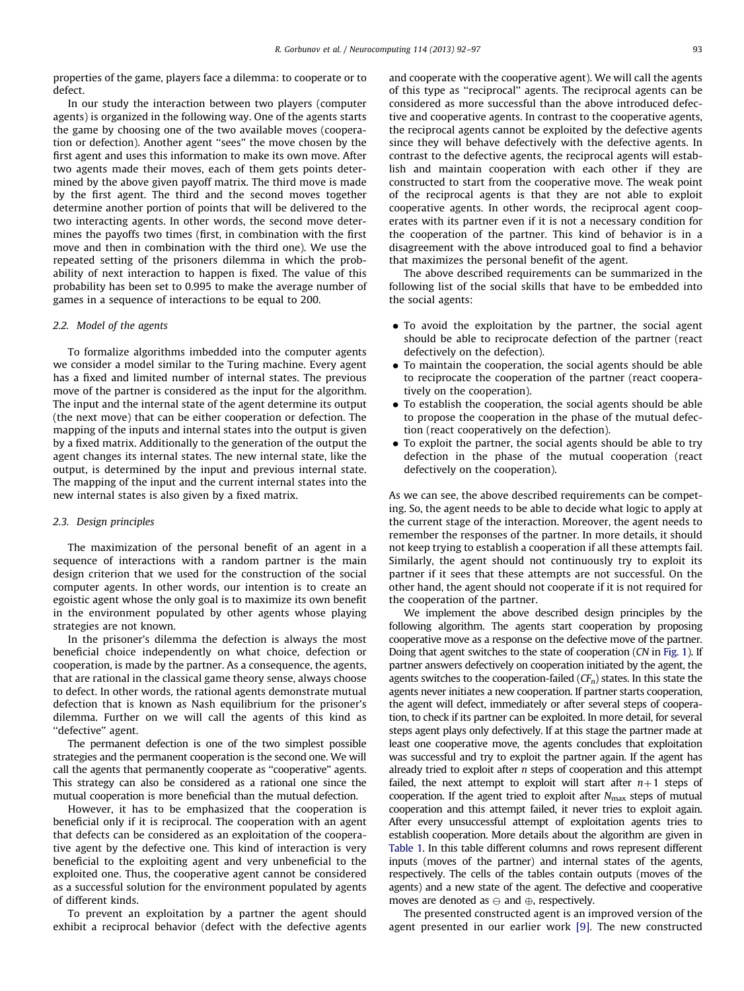properties of the game, players face a dilemma: to cooperate or to defect.

In our study the interaction between two players (computer agents) is organized in the following way. One of the agents starts the game by choosing one of the two available moves (cooperation or defection). Another agent ''sees'' the move chosen by the first agent and uses this information to make its own move. After two agents made their moves, each of them gets points determined by the above given payoff matrix. The third move is made by the first agent. The third and the second moves together determine another portion of points that will be delivered to the two interacting agents. In other words, the second move determines the payoffs two times (first, in combination with the first move and then in combination with the third one). We use the repeated setting of the prisoners dilemma in which the probability of next interaction to happen is fixed. The value of this probability has been set to 0.995 to make the average number of games in a sequence of interactions to be equal to 200.

#### 2.2. Model of the agents

To formalize algorithms imbedded into the computer agents we consider a model similar to the Turing machine. Every agent has a fixed and limited number of internal states. The previous move of the partner is considered as the input for the algorithm. The input and the internal state of the agent determine its output (the next move) that can be either cooperation or defection. The mapping of the inputs and internal states into the output is given by a fixed matrix. Additionally to the generation of the output the agent changes its internal states. The new internal state, like the output, is determined by the input and previous internal state. The mapping of the input and the current internal states into the new internal states is also given by a fixed matrix.

# 2.3. Design principles

The maximization of the personal benefit of an agent in a sequence of interactions with a random partner is the main design criterion that we used for the construction of the social computer agents. In other words, our intention is to create an egoistic agent whose the only goal is to maximize its own benefit in the environment populated by other agents whose playing strategies are not known.

In the prisoner's dilemma the defection is always the most beneficial choice independently on what choice, defection or cooperation, is made by the partner. As a consequence, the agents, that are rational in the classical game theory sense, always choose to defect. In other words, the rational agents demonstrate mutual defection that is known as Nash equilibrium for the prisoner's dilemma. Further on we will call the agents of this kind as ''defective'' agent.

The permanent defection is one of the two simplest possible strategies and the permanent cooperation is the second one. We will call the agents that permanently cooperate as ''cooperative'' agents. This strategy can also be considered as a rational one since the mutual cooperation is more beneficial than the mutual defection.

However, it has to be emphasized that the cooperation is beneficial only if it is reciprocal. The cooperation with an agent that defects can be considered as an exploitation of the cooperative agent by the defective one. This kind of interaction is very beneficial to the exploiting agent and very unbeneficial to the exploited one. Thus, the cooperative agent cannot be considered as a successful solution for the environment populated by agents of different kinds.

To prevent an exploitation by a partner the agent should exhibit a reciprocal behavior (defect with the defective agents and cooperate with the cooperative agent). We will call the agents of this type as ''reciprocal'' agents. The reciprocal agents can be considered as more successful than the above introduced defective and cooperative agents. In contrast to the cooperative agents, the reciprocal agents cannot be exploited by the defective agents since they will behave defectively with the defective agents. In contrast to the defective agents, the reciprocal agents will establish and maintain cooperation with each other if they are constructed to start from the cooperative move. The weak point of the reciprocal agents is that they are not able to exploit cooperative agents. In other words, the reciprocal agent cooperates with its partner even if it is not a necessary condition for the cooperation of the partner. This kind of behavior is in a disagreement with the above introduced goal to find a behavior that maximizes the personal benefit of the agent.

The above described requirements can be summarized in the following list of the social skills that have to be embedded into the social agents:

- $\bullet$  To avoid the exploitation by the partner, the social agent should be able to reciprocate defection of the partner (react defectively on the defection).
- $\bullet$  To maintain the cooperation, the social agents should be able to reciprocate the cooperation of the partner (react cooperatively on the cooperation).
- $\bullet$  To establish the cooperation, the social agents should be able to propose the cooperation in the phase of the mutual defection (react cooperatively on the defection).
- To exploit the partner, the social agents should be able to try defection in the phase of the mutual cooperation (react defectively on the cooperation).

As we can see, the above described requirements can be competing. So, the agent needs to be able to decide what logic to apply at the current stage of the interaction. Moreover, the agent needs to remember the responses of the partner. In more details, it should not keep trying to establish a cooperation if all these attempts fail. Similarly, the agent should not continuously try to exploit its partner if it sees that these attempts are not successful. On the other hand, the agent should not cooperate if it is not required for the cooperation of the partner.

We implement the above described design principles by the following algorithm. The agents start cooperation by proposing cooperative move as a response on the defective move of the partner. Doing that agent switches to the state of cooperation (CN in [Fig. 1\)](#page-2-0). If partner answers defectively on cooperation initiated by the agent, the agents switches to the cooperation-failed  $(CF_n)$  states. In this state the agents never initiates a new cooperation. If partner starts cooperation, the agent will defect, immediately or after several steps of cooperation, to check if its partner can be exploited. In more detail, for several steps agent plays only defectively. If at this stage the partner made at least one cooperative move, the agents concludes that exploitation was successful and try to exploit the partner again. If the agent has already tried to exploit after  $n$  steps of cooperation and this attempt failed, the next attempt to exploit will start after  $n+1$  steps of cooperation. If the agent tried to exploit after  $N_{\text{max}}$  steps of mutual cooperation and this attempt failed, it never tries to exploit again. After every unsuccessful attempt of exploitation agents tries to establish cooperation. More details about the algorithm are given in [Table 1](#page-2-0). In this table different columns and rows represent different inputs (moves of the partner) and internal states of the agents, respectively. The cells of the tables contain outputs (moves of the agents) and a new state of the agent. The defective and cooperative moves are denoted as  $\ominus$  and  $\oplus$ , respectively.

The presented constructed agent is an improved version of the agent presented in our earlier work [\[9\]](#page-4-0). The new constructed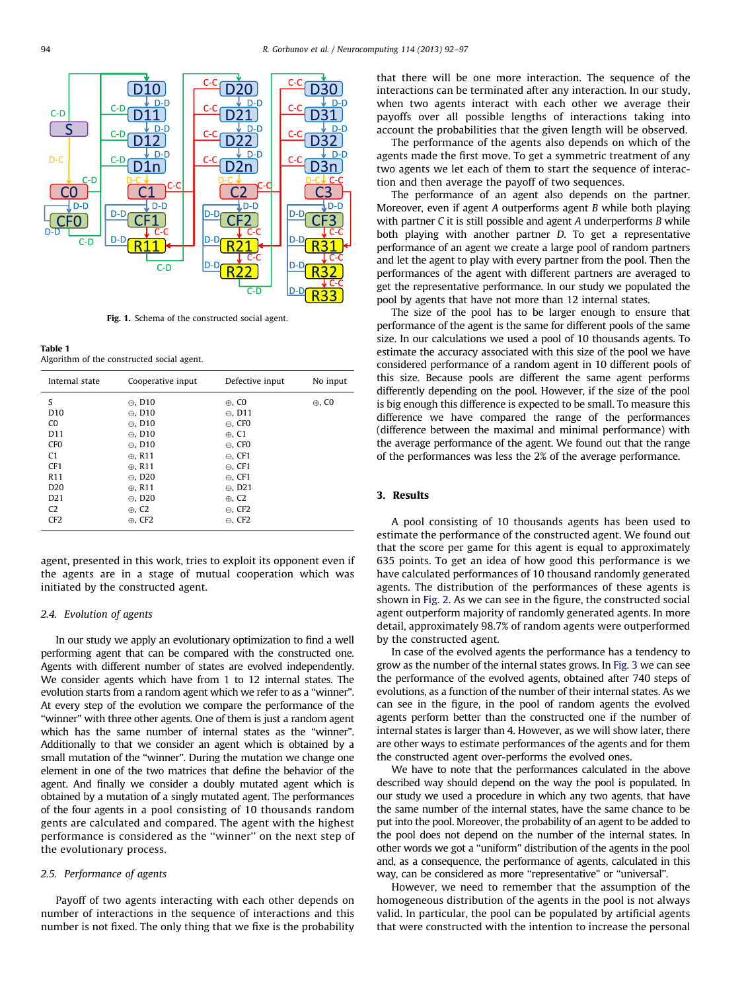<span id="page-2-0"></span>

Fig. 1. Schema of the constructed social agent.

Table 1 Algorithm of the constructed social agent.

| Internal state  | Cooperative input           | Defective input           | No input      |
|-----------------|-----------------------------|---------------------------|---------------|
| S               | $\ominus$ , D <sub>10</sub> | $\oplus$ , CO             | $\oplus$ , CO |
| D <sub>10</sub> | $\ominus$ , D <sub>10</sub> | $\ominus$ , D11           |               |
| C <sub>0</sub>  | $\ominus$ , D <sub>10</sub> | $\ominus$ , CFO           |               |
| D11             | $\ominus$ , D <sub>10</sub> | $\oplus$ , C1             |               |
| CF <sub>0</sub> | $\ominus$ , D <sub>10</sub> | $\ominus$ , CFO           |               |
| C <sub>1</sub>  | $\oplus$ , R <sub>11</sub>  | $\ominus$ , CF1           |               |
| CF1             | $\oplus$ , R <sub>11</sub>  | $\ominus$ , CF1           |               |
| R <sub>11</sub> | $\ominus$ , D <sub>20</sub> | $\ominus$ , CF1           |               |
| D <sub>20</sub> | $\oplus$ , R <sub>11</sub>  | $\ominus$ , D21           |               |
| D <sub>21</sub> | $\ominus$ , D <sub>20</sub> | $\oplus$ , C <sub>2</sub> |               |
| C <sub>2</sub>  | $\oplus$ , C <sub>2</sub>   | $\ominus$ , CF2           |               |
| CF <sub>2</sub> | $\oplus$ , CF2              | $\ominus$ , CF2           |               |

agent, presented in this work, tries to exploit its opponent even if the agents are in a stage of mutual cooperation which was initiated by the constructed agent.

## 2.4. Evolution of agents

In our study we apply an evolutionary optimization to find a well performing agent that can be compared with the constructed one. Agents with different number of states are evolved independently. We consider agents which have from 1 to 12 internal states. The evolution starts from a random agent which we refer to as a ''winner''. At every step of the evolution we compare the performance of the ''winner'' with three other agents. One of them is just a random agent which has the same number of internal states as the "winner". Additionally to that we consider an agent which is obtained by a small mutation of the ''winner''. During the mutation we change one element in one of the two matrices that define the behavior of the agent. And finally we consider a doubly mutated agent which is obtained by a mutation of a singly mutated agent. The performances of the four agents in a pool consisting of 10 thousands random gents are calculated and compared. The agent with the highest performance is considered as the ''winner'' on the next step of the evolutionary process.

#### 2.5. Performance of agents

Payoff of two agents interacting with each other depends on number of interactions in the sequence of interactions and this number is not fixed. The only thing that we fixe is the probability that there will be one more interaction. The sequence of the interactions can be terminated after any interaction. In our study, when two agents interact with each other we average their payoffs over all possible lengths of interactions taking into account the probabilities that the given length will be observed.

The performance of the agents also depends on which of the agents made the first move. To get a symmetric treatment of any two agents we let each of them to start the sequence of interaction and then average the payoff of two sequences.

The performance of an agent also depends on the partner. Moreover, even if agent A outperforms agent B while both playing with partner C it is still possible and agent A underperforms B while both playing with another partner D. To get a representative performance of an agent we create a large pool of random partners and let the agent to play with every partner from the pool. Then the performances of the agent with different partners are averaged to get the representative performance. In our study we populated the pool by agents that have not more than 12 internal states.

The size of the pool has to be larger enough to ensure that performance of the agent is the same for different pools of the same size. In our calculations we used a pool of 10 thousands agents. To estimate the accuracy associated with this size of the pool we have considered performance of a random agent in 10 different pools of this size. Because pools are different the same agent performs differently depending on the pool. However, if the size of the pool is big enough this difference is expected to be small. To measure this difference we have compared the range of the performances (difference between the maximal and minimal performance) with the average performance of the agent. We found out that the range of the performances was less the 2% of the average performance.

# 3. Results

A pool consisting of 10 thousands agents has been used to estimate the performance of the constructed agent. We found out that the score per game for this agent is equal to approximately 635 points. To get an idea of how good this performance is we have calculated performances of 10 thousand randomly generated agents. The distribution of the performances of these agents is shown in [Fig. 2](#page-3-0). As we can see in the figure, the constructed social agent outperform majority of randomly generated agents. In more detail, approximately 98.7% of random agents were outperformed by the constructed agent.

In case of the evolved agents the performance has a tendency to grow as the number of the internal states grows. In [Fig. 3](#page-3-0) we can see the performance of the evolved agents, obtained after 740 steps of evolutions, as a function of the number of their internal states. As we can see in the figure, in the pool of random agents the evolved agents perform better than the constructed one if the number of internal states is larger than 4. However, as we will show later, there are other ways to estimate performances of the agents and for them the constructed agent over-performs the evolved ones.

We have to note that the performances calculated in the above described way should depend on the way the pool is populated. In our study we used a procedure in which any two agents, that have the same number of the internal states, have the same chance to be put into the pool. Moreover, the probability of an agent to be added to the pool does not depend on the number of the internal states. In other words we got a ''uniform'' distribution of the agents in the pool and, as a consequence, the performance of agents, calculated in this way, can be considered as more ''representative'' or ''universal''.

However, we need to remember that the assumption of the homogeneous distribution of the agents in the pool is not always valid. In particular, the pool can be populated by artificial agents that were constructed with the intention to increase the personal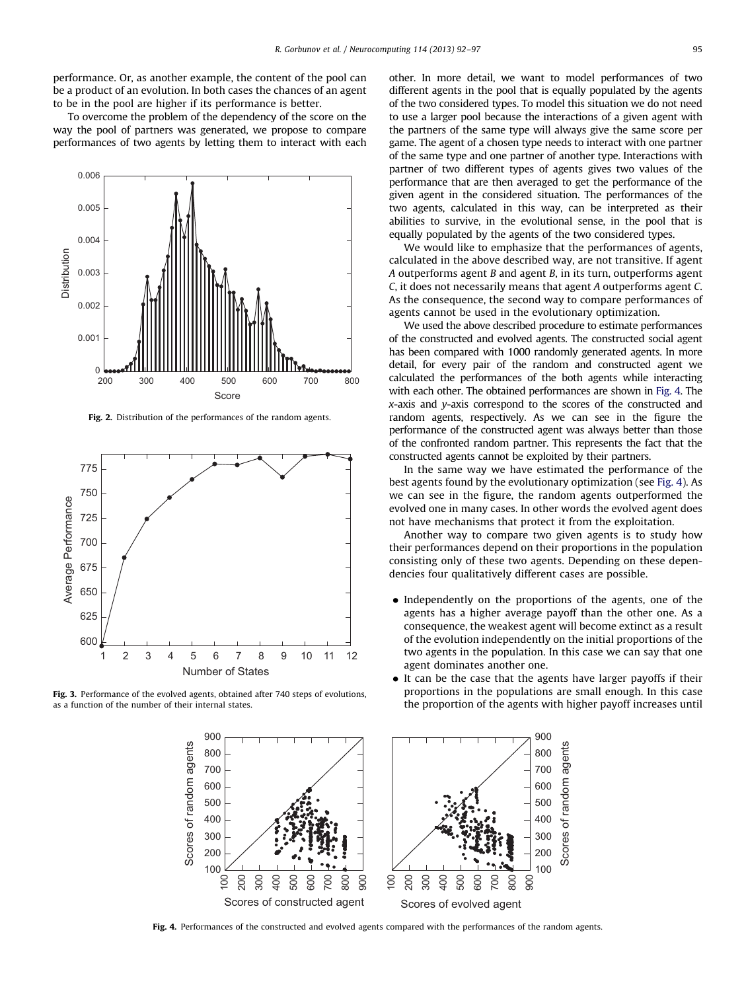<span id="page-3-0"></span>performance. Or, as another example, the content of the pool can be a product of an evolution. In both cases the chances of an agent to be in the pool are higher if its performance is better.

To overcome the problem of the dependency of the score on the way the pool of partners was generated, we propose to compare performances of two agents by letting them to interact with each



Fig. 2. Distribution of the performances of the random agents.



Fig. 3. Performance of the evolved agents, obtained after 740 steps of evolutions, as a function of the number of their internal states.

other. In more detail, we want to model performances of two different agents in the pool that is equally populated by the agents of the two considered types. To model this situation we do not need to use a larger pool because the interactions of a given agent with the partners of the same type will always give the same score per game. The agent of a chosen type needs to interact with one partner of the same type and one partner of another type. Interactions with partner of two different types of agents gives two values of the performance that are then averaged to get the performance of the given agent in the considered situation. The performances of the two agents, calculated in this way, can be interpreted as their abilities to survive, in the evolutional sense, in the pool that is equally populated by the agents of the two considered types.

We would like to emphasize that the performances of agents, calculated in the above described way, are not transitive. If agent A outperforms agent B and agent B, in its turn, outperforms agent C, it does not necessarily means that agent A outperforms agent C. As the consequence, the second way to compare performances of agents cannot be used in the evolutionary optimization.

We used the above described procedure to estimate performances of the constructed and evolved agents. The constructed social agent has been compared with 1000 randomly generated agents. In more detail, for every pair of the random and constructed agent we calculated the performances of the both agents while interacting with each other. The obtained performances are shown in Fig. 4. The x-axis and y-axis correspond to the scores of the constructed and random agents, respectively. As we can see in the figure the performance of the constructed agent was always better than those of the confronted random partner. This represents the fact that the constructed agents cannot be exploited by their partners.

In the same way we have estimated the performance of the best agents found by the evolutionary optimization (see Fig. 4). As we can see in the figure, the random agents outperformed the evolved one in many cases. In other words the evolved agent does not have mechanisms that protect it from the exploitation.

Another way to compare two given agents is to study how their performances depend on their proportions in the population consisting only of these two agents. Depending on these dependencies four qualitatively different cases are possible.

- Independently on the proportions of the agents, one of the agents has a higher average payoff than the other one. As a consequence, the weakest agent will become extinct as a result of the evolution independently on the initial proportions of the two agents in the population. In this case we can say that one agent dominates another one.
- $\bullet$  It can be the case that the agents have larger payoffs if their proportions in the populations are small enough. In this case the proportion of the agents with higher payoff increases until



Fig. 4. Performances of the constructed and evolved agents compared with the performances of the random agents.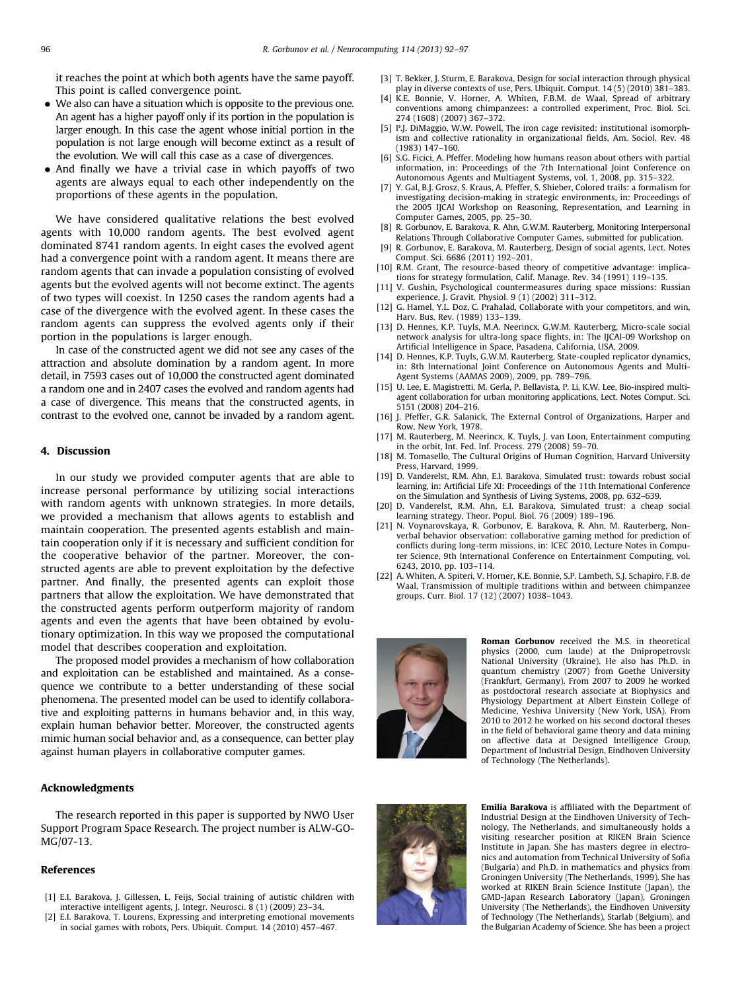<span id="page-4-0"></span>it reaches the point at which both agents have the same payoff. This point is called convergence point.

- $\bullet$  We also can have a situation which is opposite to the previous one. An agent has a higher payoff only if its portion in the population is larger enough. In this case the agent whose initial portion in the population is not large enough will become extinct as a result of the evolution. We will call this case as a case of divergences.
- And finally we have a trivial case in which payoffs of two agents are always equal to each other independently on the proportions of these agents in the population.

We have considered qualitative relations the best evolved agents with 10,000 random agents. The best evolved agent dominated 8741 random agents. In eight cases the evolved agent had a convergence point with a random agent. It means there are random agents that can invade a population consisting of evolved agents but the evolved agents will not become extinct. The agents of two types will coexist. In 1250 cases the random agents had a case of the divergence with the evolved agent. In these cases the random agents can suppress the evolved agents only if their portion in the populations is larger enough.

In case of the constructed agent we did not see any cases of the attraction and absolute domination by a random agent. In more detail, in 7593 cases out of 10,000 the constructed agent dominated a random one and in 2407 cases the evolved and random agents had a case of divergence. This means that the constructed agents, in contrast to the evolved one, cannot be invaded by a random agent.

### 4. Discussion

In our study we provided computer agents that are able to increase personal performance by utilizing social interactions with random agents with unknown strategies. In more details, we provided a mechanism that allows agents to establish and maintain cooperation. The presented agents establish and maintain cooperation only if it is necessary and sufficient condition for the cooperative behavior of the partner. Moreover, the constructed agents are able to prevent exploitation by the defective partner. And finally, the presented agents can exploit those partners that allow the exploitation. We have demonstrated that the constructed agents perform outperform majority of random agents and even the agents that have been obtained by evolutionary optimization. In this way we proposed the computational model that describes cooperation and exploitation.

The proposed model provides a mechanism of how collaboration and exploitation can be established and maintained. As a consequence we contribute to a better understanding of these social phenomena. The presented model can be used to identify collaborative and exploiting patterns in humans behavior and, in this way, explain human behavior better. Moreover, the constructed agents mimic human social behavior and, as a consequence, can better play against human players in collaborative computer games.

# Acknowledgments

The research reported in this paper is supported by NWO User Support Program Space Research. The project number is ALW-GO-MG/07-13.

#### References

- [1] E.I. Barakova, J. Gillessen, L. Feijs, Social training of autistic children with interactive intelligent agents, J. Integr. Neurosci. 8 (1) (2009) 23–34.
- [2] E.I. Barakova, T. Lourens, Expressing and interpreting emotional movements in social games with robots, Pers. Ubiquit. Comput. 14 (2010) 457–467.
- [3] T. Bekker, J. Sturm, E. Barakova, Design for social interaction through physical play in diverse contexts of use, Pers. Ubiquit. Comput. 14 (5) (2010) 381–383.
- [4] K.E. Bonnie, V. Horner, A. Whiten, F.B.M. de Waal, Spread of arbitrary conventions among chimpanzees: a controlled experiment, Proc. Biol. Sci. 274 (1608) (2007) 367–372.
- [5] P.J. DiMaggio, W.W. Powell, The iron cage revisited: institutional isomorphism and collective rationality in organizational fields, Am. Sociol. Rev. 48 (1983) 147–160.
- [6] S.G. Ficici, A. Pfeffer, Modeling how humans reason about others with partial information, in: Proceedings of the 7th International Joint Conference on Autonomous Agents and Multiagent Systems, vol. 1, 2008, pp. 315–322.
- [7] Y. Gal, B.J. Grosz, S. Kraus, A. Pfeffer, S. Shieber, Colored trails: a formalism for investigating decision-making in strategic environments, in: Proceedings of the 2005 IJCAI Workshop on Reasoning, Representation, and Learning in Computer Games, 2005, pp. 25–30.
- [8] R. Gorbunov, E. Barakova, R. Ahn, G.W.M. Rauterberg, Monitoring Interpersonal Relations Through Collaborative Computer Games, submitted for publication.
- [9] R. Gorbunov, E. Barakova, M. Rauterberg, Design of social agents, Lect. Notes Comput. Sci. 6686 (2011) 192–201.
- [10] R.M. Grant, The resource-based theory of competitive advantage: implications for strategy formulation, Calif. Manage. Rev. 34 (1991) 119–135.
- [11] V. Gushin, Psychological countermeasures during space missions: Russian experience, J. Gravit. Physiol. 9 (1) (2002) 311–312.
- [12] G. Hamel, Y.L. Doz, C. Prahalad, Collaborate with your competitors, and win, Harv. Bus. Rev. (1989) 133–139.
- [13] D. Hennes, K.P. Tuyls, M.A. Neerincx, G.W.M. Rauterberg, Micro-scale social network analysis for ultra-long space flights, in: The IJCAI-09 Workshop on Artificial Intelligence in Space, Pasadena, California, USA, 2009.
- [14] D. Hennes, K.P. Tuyls, G.W.M. Rauterberg, State-coupled replicator dynamics, in: 8th International Joint Conference on Autonomous Agents and Multi-Agent Systems (AAMAS 2009), 2009, pp. 789–796.
- [15] U. Lee, E. Magistretti, M. Gerla, P. Bellavista, P. Li, K.W. Lee, Bio-inspired multiagent collaboration for urban monitoring applications, Lect. Notes Comput. Sci. 5151 (2008) 204–216.
- [16] J. Pfeffer, G.R. Salanick, The External Control of Organizations, Harper and Row, New York, 1978.
- [17] M. Rauterberg, M. Neerincx, K. Tuyls, J. van Loon, Entertainment computing in the orbit, Int. Fed. Inf. Process. 279 (2008) 59–70.
- [18] M. Tomasello, The Cultural Origins of Human Cognition, Harvard University Press, Harvard, 1999.
- [19] D. Vanderelst, R.M. Ahn, E.I. Barakova, Simulated trust: towards robust social learning, in: Artificial Life XI: Proceedings of the 11th International Conference on the Simulation and Synthesis of Living Systems, 2008, pp. 632–639.
- [20] D. Vanderelst, R.M. Ahn, E.I. Barakova, Simulated trust: a cheap social learning strategy, Theor. Popul. Biol. 76 (2009) 189–196.
- [21] N. Voynarovskaya, R. Gorbunov, E. Barakova, R. Ahn, M. Rauterberg, Nonverbal behavior observation: collaborative gaming method for prediction of conflicts during long-term missions, in: ICEC 2010, Lecture Notes in Computer Science, 9th International Conference on Entertainment Computing, vol. 6243, 2010, pp. 103–114.
- [22] A. Whiten, A. Spiteri, V. Horner, K.E. Bonnie, S.P. Lambeth, S.J. Schapiro, F.B. de Waal, Transmission of multiple traditions within and between chimpanzee groups, Curr. Biol. 17 (12) (2007) 1038–1043.



Roman Gorbunov received the M.S. in theoretical physics (2000, cum laude) at the Dnipropetrovsk National University (Ukraine). He also has Ph.D. in quantum chemistry (2007) from Goethe University (Frankfurt, Germany). From 2007 to 2009 he worked as postdoctoral research associate at Biophysics and Physiology Department at Albert Einstein College of Medicine, Yeshiva University (New York, USA). From 2010 to 2012 he worked on his second doctoral theses in the field of behavioral game theory and data mining on affective data at Designed Intelligence Group, Department of Industrial Design, Eindhoven University of Technology (The Netherlands).



Emilia Barakova is affiliated with the Department of Industrial Design at the Eindhoven University of Technology, The Netherlands, and simultaneously holds a visiting researcher position at RIKEN Brain Science Institute in Japan. She has masters degree in electronics and automation from Technical University of Sofia (Bulgaria) and Ph.D. in mathematics and physics from Groningen University (The Netherlands, 1999). She has worked at RIKEN Brain Science Institute (Japan), the GMD-Japan Research Laboratory (Japan), Groningen University (The Netherlands), the Eindhoven University of Technology (The Netherlands), Starlab (Belgium), and the Bulgarian Academy of Science. She has been a project